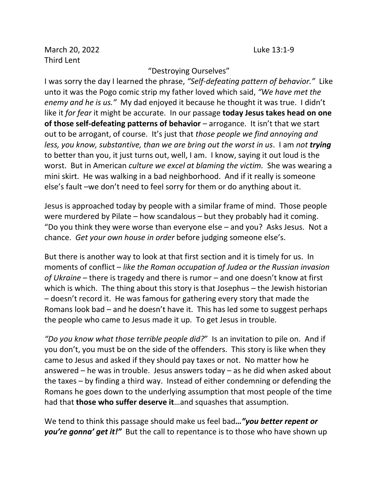March 20, 2022 Luke 13:1-9 Third Lent

## "Destroying Ourselves"

I was sorry the day I learned the phrase, *"Self-defeating pattern of behavior."* Like unto it was the Pogo comic strip my father loved which said, *"We have met the enemy and he is us."* My dad enjoyed it because he thought it was true. I didn't like it *for fear* it might be accurate. In our passage **today Jesus takes head on one of those self-defeating patterns of behavior** – arrogance. It isn't that we start out to be arrogant, of course. It's just that *those people we find annoying and less, you know, substantive, than we are bring out the worst in us*. I am *not trying* to better than you, it just turns out, well, I am. I know, saying it out loud is the worst. But in American *culture we excel at blaming the victim.* She was wearing a mini skirt. He was walking in a bad neighborhood. And if it really is someone else's fault –we don't need to feel sorry for them or do anything about it.

Jesus is approached today by people with a similar frame of mind. Those people were murdered by Pilate – how scandalous – but they probably had it coming. "Do you think they were worse than everyone else – and you? Asks Jesus. Not a chance. *Get your own house in order* before judging someone else's.

But there is another way to look at that first section and it is timely for us. In moments of conflict – *like the Roman occupation of Judea or the Russian invasion of Ukraine* – there is tragedy and there is rumor – and one doesn't know at first which is which. The thing about this story is that Josephus – the Jewish historian – doesn't record it. He was famous for gathering every story that made the Romans look bad – and he doesn't have it. This has led some to suggest perhaps the people who came to Jesus made it up. To get Jesus in trouble.

*"Do you know what those terrible people did?*" Is an invitation to pile on. And if you don't, you must be on the side of the offenders. This story is like when they came to Jesus and asked if they should pay taxes or not. No matter how he answered – he was in trouble. Jesus answers today – as he did when asked about the taxes – by finding a third way. Instead of either condemning or defending the Romans he goes down to the underlying assumption that most people of the time had that **those who suffer deserve it**…and squashes that assumption.

We tend to think this passage should make us feel bad*…"you better repent or you're gonna' get it!"* But the call to repentance is to those who have shown up